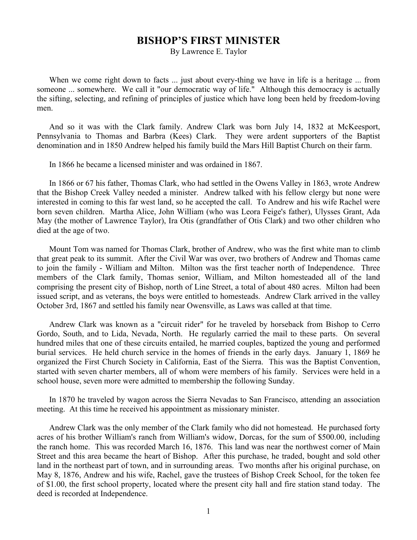## **BISHOP'S FIRST MINISTER**

By Lawrence E. Taylor

When we come right down to facts ... just about every-thing we have in life is a heritage ... from someone ... somewhere. We call it "our democratic way of life." Although this democracy is actually the sifting, selecting, and refining of principles of justice which have long been held by freedom-loving men.

And so it was with the Clark family. Andrew Clark was born July 14, 1832 at McKeesport, Pennsylvania to Thomas and Barbra (Kees) Clark. They were ardent supporters of the Baptist denomination and in 1850 Andrew helped his family build the Mars Hill Baptist Church on their farm.

In 1866 he became a licensed minister and was ordained in 1867.

In 1866 or 67 his father, Thomas Clark, who had settled in the Owens Valley in 1863, wrote Andrew that the Bishop Creek Valley needed a minister. Andrew talked with his fellow clergy but none were interested in coming to this far west land, so he accepted the call. To Andrew and his wife Rachel were born seven children. Martha Alice, John William (who was Leora Feige's father), Ulysses Grant, Ada May (the mother of Lawrence Taylor), Ira Otis (grandfather of Otis Clark) and two other children who died at the age of two.

Mount Tom was named for Thomas Clark, brother of Andrew, who was the first white man to climb that great peak to its summit. After the Civil War was over, two brothers of Andrew and Thomas came to join the family - William and Milton. Milton was the first teacher north of Independence. Three members of the Clark family, Thomas senior, William, and Milton homesteaded all of the land comprising the present city of Bishop, north of Line Street, a total of about 480 acres. Milton had been issued script, and as veterans, the boys were entitled to homesteads. Andrew Clark arrived in the valley October 3rd, 1867 and settled his family near Owensville, as Laws was called at that time.

Andrew Clark was known as a "circuit rider" for he traveled by horseback from Bishop to Cerro Gordo, South, and to Lida, Nevada, North. He regularly carried the mail to these parts. On several hundred miles that one of these circuits entailed, he married couples, baptized the young and performed burial services. He held church service in the homes of friends in the early days. January 1, 1869 he organized the First Church Society in California, East of the Sierra. This was the Baptist Convention, started with seven charter members, all of whom were members of his family. Services were held in a school house, seven more were admitted to membership the following Sunday.

In 1870 he traveled by wagon across the Sierra Nevadas to San Francisco, attending an association meeting. At this time he received his appointment as missionary minister.

Andrew Clark was the only member of the Clark family who did not homestead. He purchased forty acres of his brother William's ranch from William's widow, Dorcas, for the sum of \$500.00, including the ranch home. This was recorded March 16, 1876. This land was near the northwest corner of Main Street and this area became the heart of Bishop. After this purchase, he traded, bought and sold other land in the northeast part of town, and in surrounding areas. Two months after his original purchase, on May 8, 1876, Andrew and his wife, Rachel, gave the trustees of Bishop Creek School, for the token fee of \$1.00, the first school property, located where the present city hall and fire station stand today. The deed is recorded at Independence.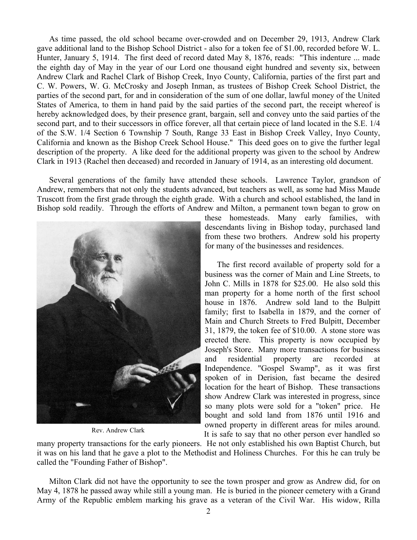As time passed, the old school became over-crowded and on December 29, 1913, Andrew Clark gave additional land to the Bishop School District - also for a token fee of \$1.00, recorded before W. L. Hunter, January 5, 1914. The first deed of record dated May 8, 1876, reads: "This indenture ... made the eighth day of May in the year of our Lord one thousand eight hundred and seventy six, between Andrew Clark and Rachel Clark of Bishop Creek, Inyo County, California, parties of the first part and C. W. Powers, W. G. McCrosky and Joseph Inman, as trustees of Bishop Creek School District, the parties of the second part, for and in consideration of the sum of one dollar, lawful money of the United States of America, to them in hand paid by the said parties of the second part, the receipt whereof is hereby acknowledged does, by their presence grant, bargain, sell and convey unto the said parties of the second part, and to their successors in office forever, all that certain piece of land located in the S.E. 1/4 of the S.W. 1/4 Section 6 Township 7 South, Range 33 East in Bishop Creek Valley, Inyo County, California and known as the Bishop Creek School House." This deed goes on to give the further legal description of the property. A like deed for the additional property was given to the school by Andrew Clark in 1913 (Rachel then deceased) and recorded in January of 1914, as an interesting old document.

Several generations of the family have attended these schools. Lawrence Taylor, grandson of Andrew, remembers that not only the students advanced, but teachers as well, as some had Miss Maude Truscott from the first grade through the eighth grade. With a church and school established, the land in Bishop sold readily. Through the efforts of Andrew and Milton, a permanent town began to grow on



Rev. Andrew Clark

these homesteads. Many early families, with descendants living in Bishop today, purchased land from these two brothers. Andrew sold his property for many of the businesses and residences.

The first record available of property sold for a business was the corner of Main and Line Streets, to John C. Mills in 1878 for \$25.00. He also sold this man property for a home north of the first school house in 1876. Andrew sold land to the Bulpitt family; first to Isabella in 1879, and the corner of Main and Church Streets to Fred Bulpitt, December 31, 1879, the token fee of \$10.00. A stone store was erected there. This property is now occupied by Joseph's Store. Many more transactions for business and residential property are recorded at Independence. "Gospel Swamp", as it was first spoken of in Derision, fast became the desired location for the heart of Bishop. These transactions show Andrew Clark was interested in progress, since so many plots were sold for a "token" price. He bought and sold land from 1876 until 1916 and owned property in different areas for miles around. It is safe to say that no other person ever handled so

many property transactions for the early pioneers. He not only established his own Baptist Church, but it was on his land that he gave a plot to the Methodist and Holiness Churches. For this he can truly be called the "Founding Father of Bishop".

Milton Clark did not have the opportunity to see the town prosper and grow as Andrew did, for on May 4, 1878 he passed away while still a young man. He is buried in the pioneer cemetery with a Grand Army of the Republic emblem marking his grave as a veteran of the Civil War. His widow, Rilla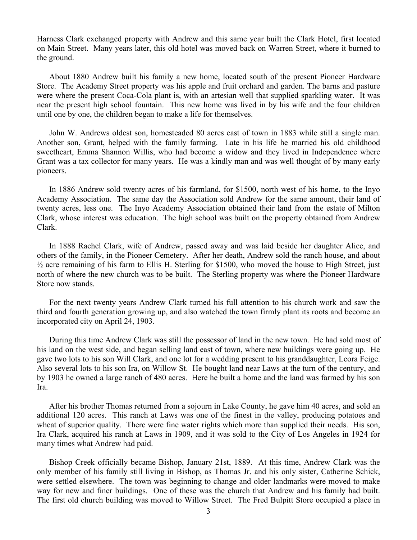Harness Clark exchanged property with Andrew and this same year built the Clark Hotel, first located on Main Street. Many years later, this old hotel was moved back on Warren Street, where it burned to the ground.

About 1880 Andrew built his family a new home, located south of the present Pioneer Hardware Store. The Academy Street property was his apple and fruit orchard and garden. The barns and pasture were where the present Coca-Cola plant is, with an artesian well that supplied sparkling water. It was near the present high school fountain. This new home was lived in by his wife and the four children until one by one, the children began to make a life for themselves.

John W. Andrews oldest son, homesteaded 80 acres east of town in 1883 while still a single man. Another son, Grant, helped with the family farming. Late in his life he married his old childhood sweetheart, Emma Shannon Willis, who had become a widow and they lived in Independence where Grant was a tax collector for many years. He was a kindly man and was well thought of by many early pioneers.

In 1886 Andrew sold twenty acres of his farmland, for \$1500, north west of his home, to the Inyo Academy Association. The same day the Association sold Andrew for the same amount, their land of twenty acres, less one. The Inyo Academy Association obtained their land from the estate of Milton Clark, whose interest was education. The high school was built on the property obtained from Andrew Clark.

In 1888 Rachel Clark, wife of Andrew, passed away and was laid beside her daughter Alice, and others of the family, in the Pioneer Cemetery. After her death, Andrew sold the ranch house, and about  $\frac{1}{2}$  acre remaining of his farm to Ellis H. Sterling for \$1500, who moved the house to High Street, just north of where the new church was to be built. The Sterling property was where the Pioneer Hardware Store now stands.

For the next twenty years Andrew Clark turned his full attention to his church work and saw the third and fourth generation growing up, and also watched the town firmly plant its roots and become an incorporated city on April 24, 1903.

During this time Andrew Clark was still the possessor of land in the new town. He had sold most of his land on the west side, and began selling land east of town, where new buildings were going up. He gave two lots to his son Will Clark, and one lot for a wedding present to his granddaughter, Leora Feige. Also several lots to his son Ira, on Willow St. He bought land near Laws at the turn of the century, and by 1903 he owned a large ranch of 480 acres. Here he built a home and the land was farmed by his son Ira.

After his brother Thomas returned from a sojourn in Lake County, he gave him 40 acres, and sold an additional 120 acres. This ranch at Laws was one of the finest in the valley, producing potatoes and wheat of superior quality. There were fine water rights which more than supplied their needs. His son, Ira Clark, acquired his ranch at Laws in 1909, and it was sold to the City of Los Angeles in 1924 for many times what Andrew had paid.

Bishop Creek officially became Bishop, January 21st, 1889. At this time, Andrew Clark was the only member of his family still living in Bishop, as Thomas Jr. and his only sister, Catherine Schick, were settled elsewhere. The town was beginning to change and older landmarks were moved to make way for new and finer buildings. One of these was the church that Andrew and his family had built. The first old church building was moved to Willow Street. The Fred Bulpitt Store occupied a place in